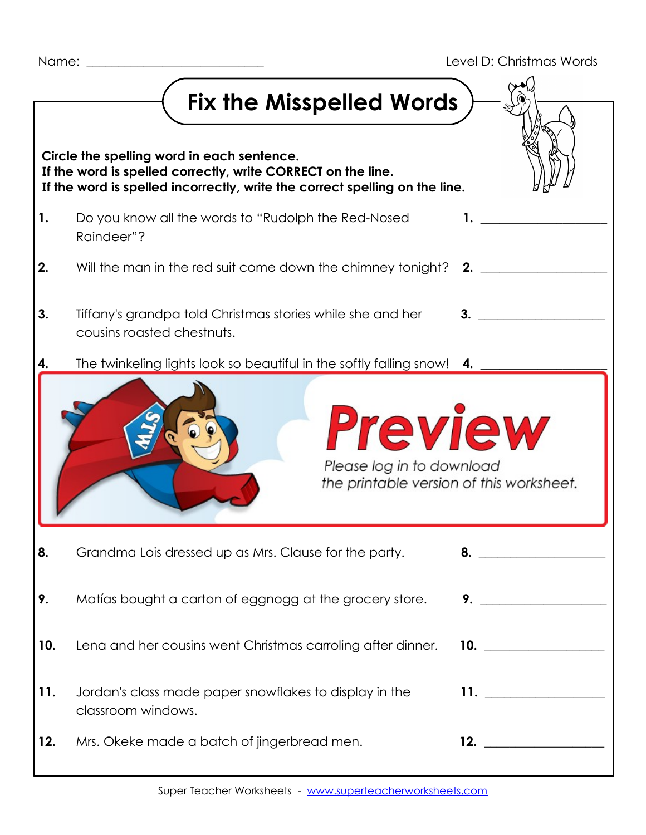|                                                                                                                                                                                           | Fix the Misspelled Words                                                                 |                     |  |  |
|-------------------------------------------------------------------------------------------------------------------------------------------------------------------------------------------|------------------------------------------------------------------------------------------|---------------------|--|--|
|                                                                                                                                                                                           |                                                                                          |                     |  |  |
| Circle the spelling word in each sentence.<br>If the word is spelled correctly, write CORRECT on the line.<br>If the word is spelled incorrectly, write the correct spelling on the line. |                                                                                          |                     |  |  |
| 1.                                                                                                                                                                                        | Do you know all the words to "Rudolph the Red-Nosed<br>Raindeer"?                        |                     |  |  |
| 2.                                                                                                                                                                                        | Will the man in the red suit come down the chimney tonight? 2.                           |                     |  |  |
| 3.                                                                                                                                                                                        | Tiffany's grandpa told Christmas stories while she and her<br>cousins roasted chestnuts. | 3.                  |  |  |
| 4.                                                                                                                                                                                        | The twinkeling lights look so beautiful in the softly falling snow! 4.                   |                     |  |  |
|                                                                                                                                                                                           | <b>Preview</b><br>Please log in to download<br>the printable version of this worksheet.  |                     |  |  |
| 8.                                                                                                                                                                                        | Grandma Lois dressed up as Mrs. Clause for the party.                                    |                     |  |  |
| 9.                                                                                                                                                                                        | Matías bought a carton of eggnogg at the grocery store.                                  |                     |  |  |
| 10.                                                                                                                                                                                       | Lena and her cousins went Christmas carroling after dinner.                              | 10. $\qquad \qquad$ |  |  |
| 11.                                                                                                                                                                                       | Jordan's class made paper snowflakes to display in the<br>classroom windows.             | 11. $\qquad \qquad$ |  |  |
| 12.                                                                                                                                                                                       | Mrs. Okeke made a batch of jingerbread men.                                              |                     |  |  |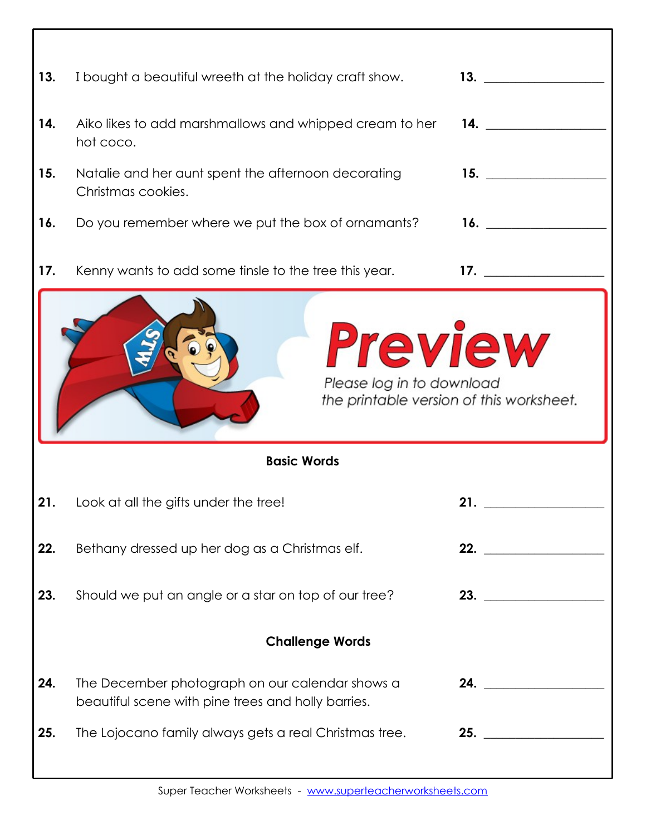| 13.                                                                                                           | I bought a beautiful wreeth at the holiday craft show.                                                | 13. $\qquad \qquad$ |  |  |
|---------------------------------------------------------------------------------------------------------------|-------------------------------------------------------------------------------------------------------|---------------------|--|--|
| 14.                                                                                                           | Aiko likes to add marshmallows and whipped cream to her<br>hot coco.                                  | 14.                 |  |  |
| 15.                                                                                                           | Natalie and her aunt spent the afternoon decorating<br>Christmas cookies.                             | 15.                 |  |  |
| 16.                                                                                                           | Do you remember where we put the box of ornamants?                                                    |                     |  |  |
| 17.                                                                                                           | Kenny wants to add some tinsle to the tree this year.                                                 | 17.                 |  |  |
| <b>Preview</b><br>Please log in to download<br>the printable version of this worksheet.<br><b>Basic Words</b> |                                                                                                       |                     |  |  |
|                                                                                                               |                                                                                                       |                     |  |  |
| 21.                                                                                                           | Look at all the gifts under the tree!                                                                 | 21.                 |  |  |
| 22.                                                                                                           | Bethany dressed up her dog as a Christmas elf.                                                        | 22.                 |  |  |
| 23.                                                                                                           | Should we put an angle or a star on top of our tree?                                                  | 23.                 |  |  |
| <b>Challenge Words</b>                                                                                        |                                                                                                       |                     |  |  |
| 24.                                                                                                           | The December photograph on our calendar shows a<br>beautiful scene with pine trees and holly barries. | 24.                 |  |  |
| 25.                                                                                                           | The Lojocano family always gets a real Christmas tree.                                                | 25. $\qquad$        |  |  |
|                                                                                                               |                                                                                                       |                     |  |  |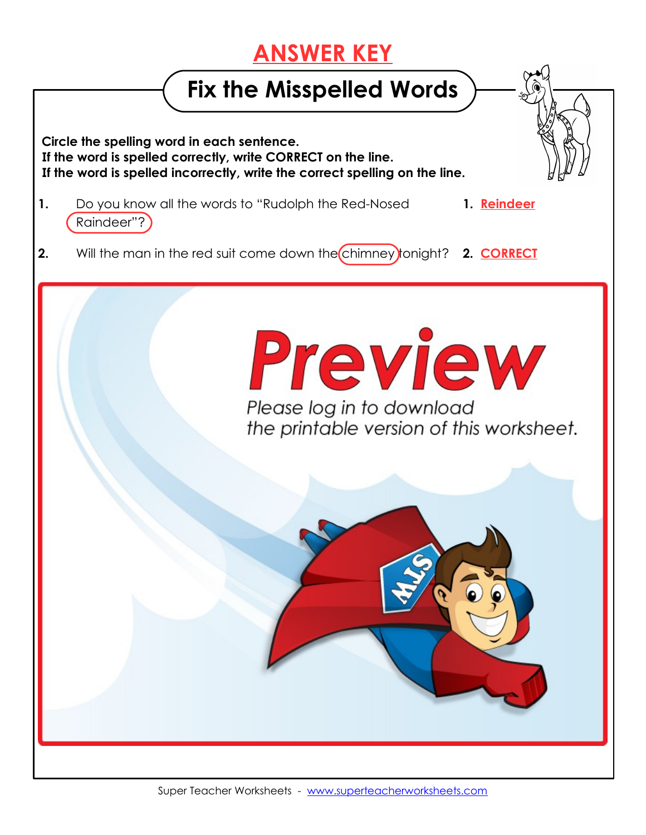## **ANSWER KEY**

## **Fix the Misspelled Words**

 **Circle the spelling word in each sentence. If the word is spelled correctly, write CORRECT on the line. If the word is spelled incorrectly, write the correct spelling on the line.**

- **1.** Do you know all the words to "Rudolph the Red-Nosed **1. Reindeer** Raindeer"?
- **2.** Will the man in the red suit come down the chimney tonight? **2. CORRECT**